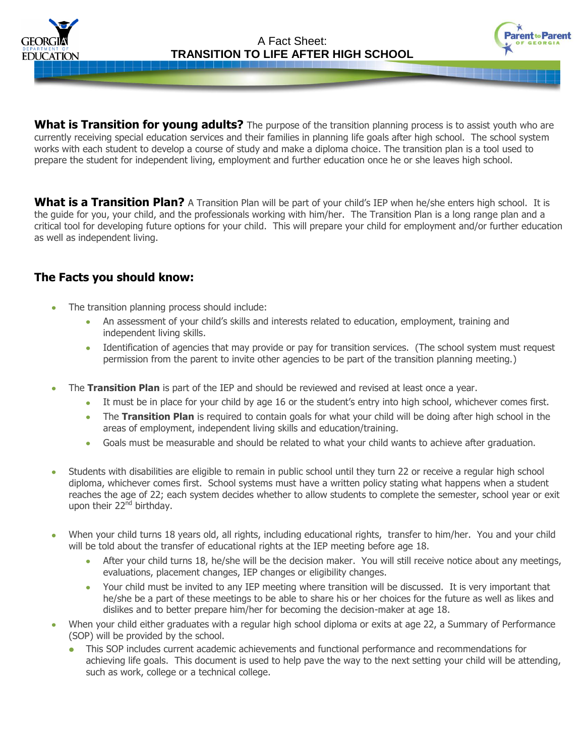



**What is Transition for young adults?** The purpose of the transition planning process is to assist youth who are currently receiving special education services and their families in planning life goals after high school. The school system works with each student to develop a course of study and make a diploma choice. The transition plan is a tool used to prepare the student for independent living, employment and further education once he or she leaves high school.

**What is a Transition Plan?** A Transition Plan will be part of your child's IEP when he/she enters high school. It is the guide for you, your child, and the professionals working with him/her. The Transition Plan is a long range plan and a critical tool for developing future options for your child. This will prepare your child for employment and/or further education as well as independent living.

# **The Facts you should know:**

- The transition planning process should include:
	- An assessment of your child's skills and interests related to education, employment, training and independent living skills.
	- Identification of agencies that may provide or pay for transition services. (The school system must request permission from the parent to invite other agencies to be part of the transition planning meeting.)
- The **Transition Plan** is part of the IEP and should be reviewed and revised at least once a year.
	- It must be in place for your child by age 16 or the student's entry into high school, whichever comes first.
	- The **Transition Plan** is required to contain goals for what your child will be doing after high school in the  $\bullet$ areas of employment, independent living skills and education/training.
	- Goals must be measurable and should be related to what your child wants to achieve after graduation.  $\bullet$
- Students with disabilities are eligible to remain in public school until they turn 22 or receive a regular high school diploma, whichever comes first. School systems must have a written policy stating what happens when a student reaches the age of 22; each system decides whether to allow students to complete the semester, school year or exit upon their 22<sup>nd</sup> birthday.
- When your child turns 18 years old, all rights, including educational rights, transfer to him/her. You and your child will be told about the transfer of educational rights at the IEP meeting before age 18.
	- After your child turns 18, he/she will be the decision maker. You will still receive notice about any meetings, evaluations, placement changes, IEP changes or eligibility changes.
	- Your child must be invited to any IEP meeting where transition will be discussed. It is very important that he/she be a part of these meetings to be able to share his or her choices for the future as well as likes and dislikes and to better prepare him/her for becoming the decision-maker at age 18.
- When your child either graduates with a regular high school diploma or exits at age 22, a Summary of Performance (SOP) will be provided by the school.
	- This SOP includes current academic achievements and functional performance and recommendations for achieving life goals. This document is used to help pave the way to the next setting your child will be attending, such as work, college or a technical college.